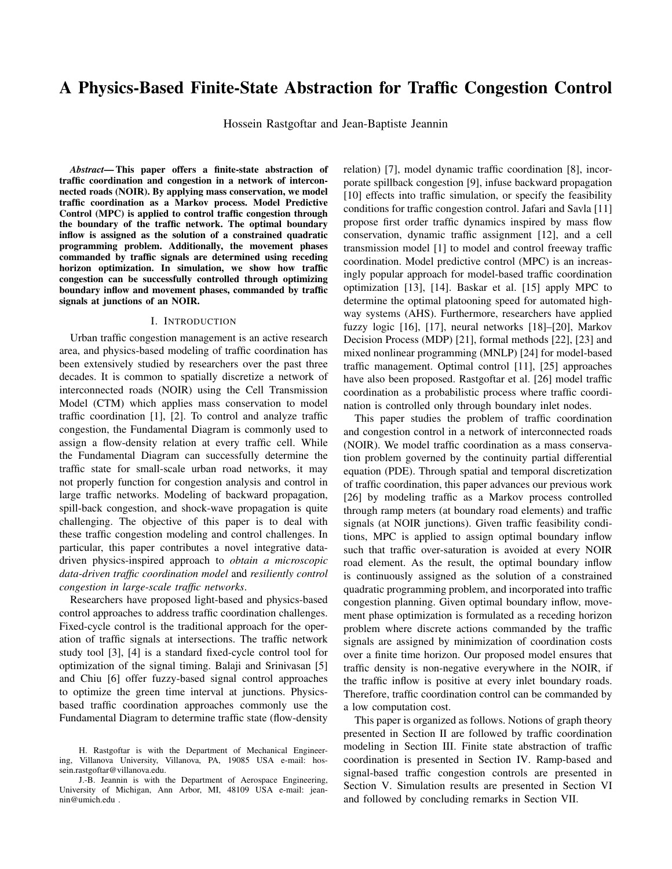# A Physics-Based Finite-State Abstraction for Traffic Congestion Control

Hossein Rastgoftar and Jean-Baptiste Jeannin

*Abstract*— This paper offers a finite-state abstraction of traffic coordination and congestion in a network of interconnected roads (NOIR). By applying mass conservation, we model traffic coordination as a Markov process. Model Predictive Control (MPC) is applied to control traffic congestion through the boundary of the traffic network. The optimal boundary inflow is assigned as the solution of a constrained quadratic programming problem. Additionally, the movement phases commanded by traffic signals are determined using receding horizon optimization. In simulation, we show how traffic congestion can be successfully controlled through optimizing boundary inflow and movement phases, commanded by traffic signals at junctions of an NOIR.

### I. INTRODUCTION

Urban traffic congestion management is an active research area, and physics-based modeling of traffic coordination has been extensively studied by researchers over the past three decades. It is common to spatially discretize a network of interconnected roads (NOIR) using the Cell Transmission Model (CTM) which applies mass conservation to model traffic coordination [1], [2]. To control and analyze traffic congestion, the Fundamental Diagram is commonly used to assign a flow-density relation at every traffic cell. While the Fundamental Diagram can successfully determine the traffic state for small-scale urban road networks, it may not properly function for congestion analysis and control in large traffic networks. Modeling of backward propagation, spill-back congestion, and shock-wave propagation is quite challenging. The objective of this paper is to deal with these traffic congestion modeling and control challenges. In particular, this paper contributes a novel integrative datadriven physics-inspired approach to *obtain a microscopic data-driven traffic coordination model* and *resiliently control congestion in large-scale traffic networks*.

Researchers have proposed light-based and physics-based control approaches to address traffic coordination challenges. Fixed-cycle control is the traditional approach for the operation of traffic signals at intersections. The traffic network study tool [3], [4] is a standard fixed-cycle control tool for optimization of the signal timing. Balaji and Srinivasan [5] and Chiu [6] offer fuzzy-based signal control approaches to optimize the green time interval at junctions. Physicsbased traffic coordination approaches commonly use the Fundamental Diagram to determine traffic state (flow-density relation) [7], model dynamic traffic coordination [8], incorporate spillback congestion [9], infuse backward propagation [10] effects into traffic simulation, or specify the feasibility conditions for traffic congestion control. Jafari and Savla [11] propose first order traffic dynamics inspired by mass flow conservation, dynamic traffic assignment [12], and a cell transmission model [1] to model and control freeway traffic coordination. Model predictive control (MPC) is an increasingly popular approach for model-based traffic coordination optimization [13], [14]. Baskar et al. [15] apply MPC to determine the optimal platooning speed for automated highway systems (AHS). Furthermore, researchers have applied fuzzy logic [16], [17], neural networks [18]–[20], Markov Decision Process (MDP) [21], formal methods [22], [23] and mixed nonlinear programming (MNLP) [24] for model-based traffic management. Optimal control [11], [25] approaches have also been proposed. Rastgoftar et al. [26] model traffic coordination as a probabilistic process where traffic coordination is controlled only through boundary inlet nodes.

This paper studies the problem of traffic coordination and congestion control in a network of interconnected roads (NOIR). We model traffic coordination as a mass conservation problem governed by the continuity partial differential equation (PDE). Through spatial and temporal discretization of traffic coordination, this paper advances our previous work [26] by modeling traffic as a Markov process controlled through ramp meters (at boundary road elements) and traffic signals (at NOIR junctions). Given traffic feasibility conditions, MPC is applied to assign optimal boundary inflow such that traffic over-saturation is avoided at every NOIR road element. As the result, the optimal boundary inflow is continuously assigned as the solution of a constrained quadratic programming problem, and incorporated into traffic congestion planning. Given optimal boundary inflow, movement phase optimization is formulated as a receding horizon problem where discrete actions commanded by the traffic signals are assigned by minimization of coordination costs over a finite time horizon. Our proposed model ensures that traffic density is non-negative everywhere in the NOIR, if the traffic inflow is positive at every inlet boundary roads. Therefore, traffic coordination control can be commanded by a low computation cost.

This paper is organized as follows. Notions of graph theory presented in Section II are followed by traffic coordination modeling in Section III. Finite state abstraction of traffic coordination is presented in Section IV. Ramp-based and signal-based traffic congestion controls are presented in Section V. Simulation results are presented in Section VI and followed by concluding remarks in Section VII.

H. Rastgoftar is with the Department of Mechanical Engineering, Villanova University, Villanova, PA, 19085 USA e-mail: hossein.rastgoftar@villanova.edu.

J.-B. Jeannin is with the Department of Aerospace Engineering, University of Michigan, Ann Arbor, MI, 48109 USA e-mail: jeannin@umich.edu .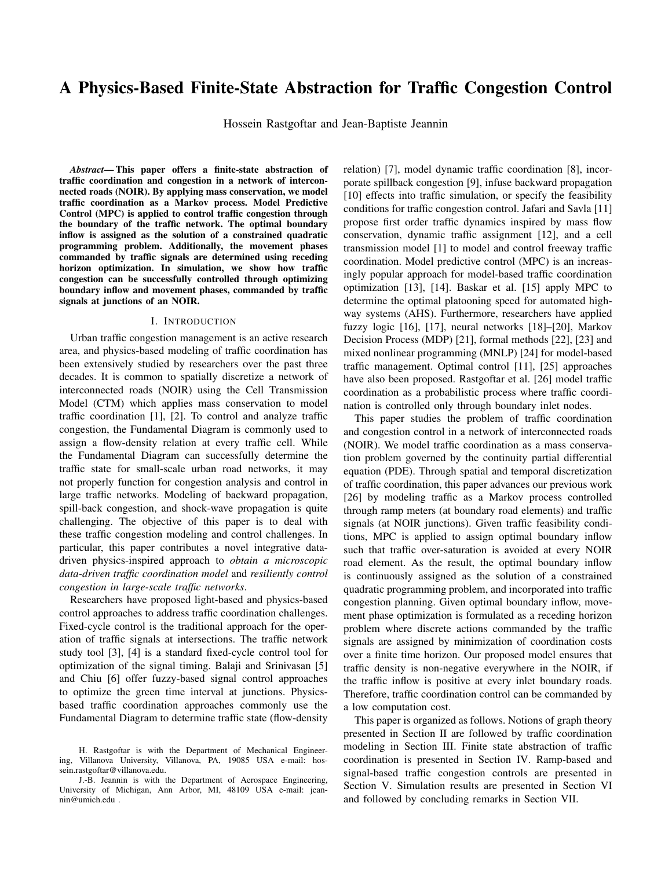### II. GRAPH THEORY NOTIONS

Consider a NOIR with  $\lt$  junctions defined by set  $W =$ f1- $-\leq$ g. An example of such a NOIR is shown in Fig. 1 (a). NOIR roads are identified by set  $\vee$  where  $82 \vee \cdot$ is the index number of a road directed from an upstream junction to a downstream junction. Set  $\vee$  can be partitioned into a set of inlet boundary roads  $\vee_{\beta}$  and a set of non-inlet roads V such that

$$
\bigvee \cdot = \bigvee_{\beta=} \bullet \bigvee \cdot \tag{1}
$$

We also define a single "Exit" road defined by singleton V . Note that the "Exit" road does not represent a real road element (See Fig. 1 (a)); it is defined to model traffic coordination by a finite-state Markov process. We spatially discretize the NOIR using graph  $G<sup>1</sup> \vee F<sup>o</sup>$  with node set  $V = V' \quad V$  and edge set  $E \quad V \quad V$ . Note that the nodes of graph G are the roads of our NOIR, and subsequently we use "road" and "node" interchangeably. Graph G is directed and the edge set E hold the following properties:

- 1) Traffic flow is directed from road  $\ell$ , if  $\ell \ell^p \geq \epsilon$ .
- 2) Real roads defined by set  $\vee$  are all unidirectional. Therefore,  $9-80^\circ$  8 E, if  $18-80^\circ$  2 E.

Given graph  $G^1V - E^0$ , global in-neighbor, global outneighbor, inlet boundary nodes, non-inlet nodes, and "Exit" node are formally defined as follows:

**Definition 1.** Given edge set  $E$ , the global in-neighbors of road  $\ell$  are defined by set

$$
I_{\mathcal{B}} = f \mathcal{I} 2 \vee \cdots 1 \mathcal{I} - \mathcal{E} 2 E g \tag{2}
$$

Definition 2. Given edge set E, the global out-neighbors of road  $\ell$  are defined by set

$$
O_{\theta} = f \theta 2 \vee : \theta \cdot \theta^{\circ} 2 \text{ Eg} \cdot \tag{3}
$$

Definition 3. Inlet boundary roads have no in-neighbors at any time, and they are formally defined by set

$$
\bigvee_{\mathcal{B}} = f \mathcal{B} \, 2 \, \bigvee \cdot : I_{\mathcal{B}} = \, ; \, \wedge \bigcirc_{\mathcal{B}} \, < \, ; \, g \cdot \tag{4}
$$

Definition 4. Non-inlet roads have at least one in-neighbor and one out-neighbor at any time, and they are formally defined by set

$$
\bigvee = \bigvee \cdot \, \cap \bigvee_{\beta=}^{\bullet} \, \bullet \qquad \qquad (5)
$$

Definition 5. The "Exit" node is formally defined as follows:

$$
\bigvee = f \circ 2 \vee : I_{\mathcal{S}} < \bigcirc^{\wedge} O_{\mathcal{S}} = g \tag{6}
$$

where we assume that  $\vee$  is a singleton.

Without loss of generality, inlet boundary nodes are indexed from 1 through  $\#_{\theta=}$ , non-inlet roads are indexed from  $\#_{\mathcal{B}^=}$ , 1 through  $\#$ , and the "Exit" node is indexed by  $\#$ , 1. Therefore  $\bigvee_{\beta=}$  = f1-  $-\#_{\beta=}$   $\bigvee$  = f $\#_{\beta=}$  1-  $-\#$ g, and  $V = f \#$ , 1g define the inlet, non-inlet, and "Exit" nodes, respectively.

The NOIR shown in Fig. 1 contains 53 unidirectional "real" roads identified by set  $\vee$  = f1- -53q and a virtual "Exit" node identified by set  $\vee$  = f54g, i.e.  $\vee$  =  $\vee$  $\vee$  . Note that roads 9-  $-17.2 \text{ V}$   $\vee$  are in-neighbors to the "Exit" node  $54.2 \vee$ , as represented by the dotted lines. Thus

$$
I_{54} = f9 - -17g \cdot
$$

Inlet nodes are identified by  $\forall_{\beta} = f1 - -8g$  and  $\forall =$ f9– –53g defines all non-inlet roads.



Fig. 1: (a) Example NOIR with 53 unidirectional roads. (b) Three possible movement phases at junction 10 2 W.

Movement Phase Rotation: At each intersection, we define *movement phases* representing the different possible configurations of traffic light states at that intersection or, equivalently, the different possible paths that are allowed at that intersection. For instance, in the example of Fig. 1, intersection number 10 has three lights – at the ends of roads 33, 35 and 50 – and three different movement phases:

the first movement phase  $_{-10-1}$  corresponds to a green light at the end of road 50, and red lights at the ends of roads 33 and 35; equivalently, cars are allowed to circulate from road 50 to roads 34, 13 or 36, and no other circulation is allowed;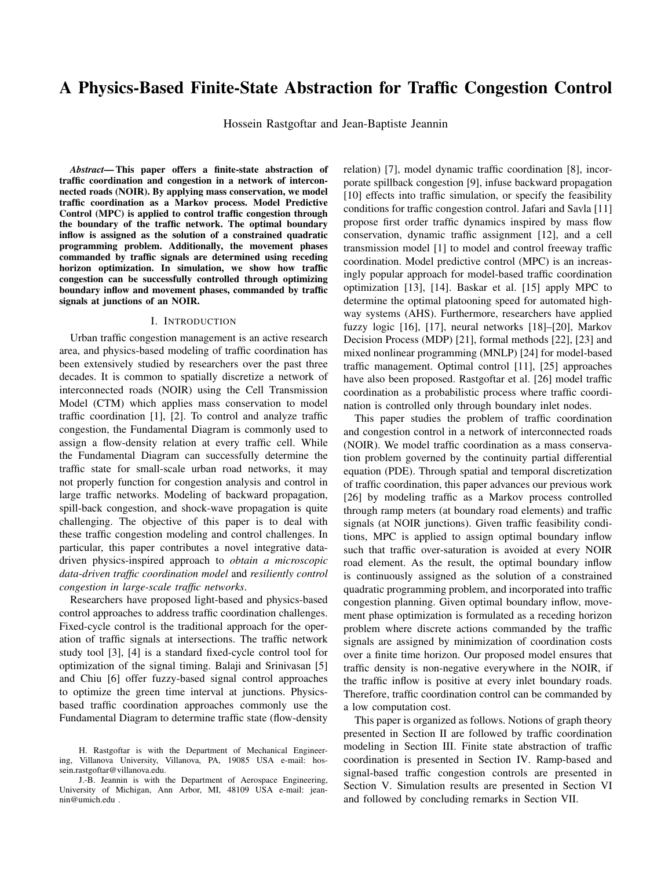the second movement phase  $_{-10-2}$  corresponds to a green light at the end of road 35, and red lights at the end of roads 33 and 50; cars are only allowed to circulate from road 35 to either road 13 or 36;

the third movement phase  $_{-10-3}$  corresponds to a green light at the end of road 33, and red lights at the end of roads 35 and 50 to be red; cars are only allowed to circulate from road 33 to either road 13 or 34.

Those three movement phases define the three possible configurations of the lights at intersection number 10, and over time the lights of intersection 10 alternatively go over those movement phases.

Formally, let  $\mathcal{M}_{g=0}$   $\vee$  define incoming roads and  $M_{\geq 0}$   $\ell_{\geq 0}$   $\vee$  define outcoming roads at junction  $92 \text{ W}$ . Every junction  $92 W$  is associated with  $\gamma$  movement phases that can be commanded by the traffic signals. The set  $g_{\varphi}$ :  $M_{g_{\varphi}}$ ,  $M_{\varphi}$ ,  $g_{\varphi}$  E is the :-th movement phase commanded at junction  $92 \text{ W}$  where  $\therefore$  = 1-  $\therefore$  9. Movement phases at junction  $92 \text{ W}$  are defined by finite set  $\theta$ as follows:

$$
g = \sum_{\substack{j=1 \ j \neq j}}^{\bullet} g_{-j} g_{-j} = f_{-j} g_{-j} - \cdots - g_{-j} g_{-j} \tag{7}
$$

where  $9.2 \text{ W}$  and  $\therefore$  = 1-  $\therefore$   $\theta$ . Note that  $\theta$  is a set of subsets of edge set E, i.e., is contained in the powerset of E. We can define

$$
= 1 \qquad \qquad < \qquad \qquad (8)
$$

as the set of all possible movement phases across the NOIR. Transitions of movement phases are cyclic at every junction  $92 \text{ W}$ , and defined by cycle graph  $C_9$   $9 - 9$  with node set  $\theta$  and edge set

$$
g = 9-1-9-2 - 9-3 = -9-3 = -9-3 = -9-3 = -9-1
$$
 (9)

Intuitively, first  $_{9.1}$  is the active movement phase defining the current traffic light states and equivalent authorized paths at junction  $9.2 \text{ W}$ ; then the active movement phase is switched to  $\angle$  9.2, then to  $\angle$  9.3,..., then to  $\angle$  9. $\degree$ , then back to  $_{9-1}$  to restart the cycle.

Fig. 1 (b) shows all possible movement phases at junction 10 2 W of the NOIR shown in Fig. 1 (a), where  $W = f1 - -13g$  defines the junctions. The incoming and outcoming roads are defined by set  $M_{8-10}$  = f33-35-50g and  $M_{>0.010}$  = f13-34-36g, respectively. There are three movement phases  $_{-10-1}$  = f<sup>1</sup>50-34<sup>o</sup>-150-13<sup>o</sup>-150-36<sup>o</sup>g E,  $_{-10-2}$  = f<sup>1</sup>35-13<sup>o</sup>-<sup>1</sup>35-36<sup>o</sup>g E, and <sub>-10-1</sub> = f<sup>1</sup>33-13<sup>o</sup>-<sup>1</sup>33-34<sup>o</sup>g E. Note that U-turns are disallowed at every junction of the Example NOIR shown in Fig. 1.

Movement Phase Activation Time: It is assumed that movement phase  $-9$ -:  $2 \neq ($ : = 1-  $-\rightarrow$   $9)$  cannot be active more that  $j_{1-9}$  time steps, where  $j_{1-9}$  2 N is equivalent to  $j_{1-9}$  ) seconds, and ) is a known constant time step interval. Because movement rotation is cyclic at every junction  $92 \text{ W}$ , we define the *maximum activation time* )<sub> $1.9$ </sub> for every movement phase at NOIR junction  $92 \text{ W}$ . Define  $\int$  as the activation time of a movement phase at junction  $92 \text{ W}$ , where  $\frac{1}{9}$ ,  $\frac{1}{9}$ . Note that  $\frac{1}{9}$  is independent of index :  $2 f1 - \frac{9g}{9}$  and is counted from the start time of a movement phase  $_{-9}$  at junction  $92 \text{ W}$ . Given  $\frac{1}{9}$  and  $\frac{1}{1}$   $_{-9}$ , we define *activation index*

92 W - 
$$
g_{\theta} = \frac{y_{\theta}}{y_{1-\theta}}
$$
 2 f0-1g

at every intersection  $92 \text{ W}$ , where bc denotes the floor function. Because  $\int$   $\int$   $\int$   $\int$   $\int$   $\int$   $q$   $q$  2 f0-1q is a binary variable assigning whether the active movement phase must be overridden or not. If  $g_\ell = 0$ , the current movement  $g_{\ell}$ :  $(z = 1 - \frac{1}{2} \cdot \frac{9}{2} \text{ W})$  can still remain active. Otherwise, the active movement phase is overridden and the next movement phase must be selected.

The network movement phase is denoted by  $=$  $\frac{1}{2}$ –  $\frac{1}{2}$  –  $\frac{1}{8}$  –  $\frac{1}{8}$  –  $\frac{1}{8}$  –  $\frac{1}{8}$  –  $\frac{1}{8}$  9 and 9 2 W. We define the switching communication graph  $G^{-1}V$ - $E^{-0}$  to specify the inter-road connection under movement phase  $\overline{\phantom{a}}$  2, where E\_ E defines the edges of graph G\_. Per movement phase definition given in (7),  $E_{-} = \left[\begin{array}{c} 2 \\ 1 \end{array}\right]$  = 1  $\left[\begin{array}{c} 1 \\ -1 \end{array}\right]$ . In-neighbors and outneighbors of road (or Exit node)  $82 \vee$  is defined by the following sets:

$$
\theta
$$
 2 V - 2 - 1 $\theta$  - 5 f 2 V · 19- $\theta$  2 E\_g - (10a)

$$
\theta
$$
 2 V - 2 - O <sub>$\theta$ -</sub> = f  $\theta$  2 V :  $1\theta$ - $\theta$  2 E\_g (10b)

Given the above definitions, for any  $\begin{array}{ccc} 2 \\ 3 \\ -1 \end{array}$  |  $\begin{array}{ccc} 1 \\ 8 \\ 1 \end{array}$  and  $O_{\ell}$   $O_{\ell}$ , thus:

- 1) for every  $2$ , in-neighbor set  $|_{g_-} =$ ; if  $82 \sqrt{g_-}$ ;
- 2) for every  $2 \cdot$ , out-neighbor set  $O_{\theta-} =$ ; if  $\theta \cdot 2 \vee \theta$ .

## III. TRAFFIC COORDINATION MODEL

We use the mass conservation law to model traffic at every NOIR road element  $\ell_2 \vee$ . Let  $d_{\ell}$ ,  $H_{\ell}$ , and  $I_{\ell}$  denote traffic density, traffic inflow, and traffic outflow at every road element  $82 \vee$ . Traffic dynamics governed by mass conservation is:

$$
d_{\theta}^{-1} : \ {}_{\circ} \mathbf{1}^{\circ} = d_{\theta}^{-1} : \ {}_{\circ} \ {}_{\circ} H_{\theta}^{-1} : \ {}_{\circ} \ {}_{\theta}^{-1} : \ {}_{\circ} \ . \tag{11}
$$

where

$$
I_{g}^{-1} : S = \begin{cases} 2g^{-1} - 2g^{-1} \cdot S & \text{if } 2 \vee \cdot S = 2 \\ 2g^{-1} \cdot S & \text{if } 2 \vee \cdot S = 2 \\ 2g^{-1} \cdot S & \text{if } 2 \vee \cdot S = 2 \end{cases}
$$
 (12a)

$$
H_{g}^{-1} : \circ = \bigotimes_{g_{2|g_{-}}}^{g_{1}:0} g_{g_{-}g_{-}^{-1} \circ f_{g_{1}:0}} g_{2} \vee_{g_{g_{-}}} g_{2} \vee \dots \vee_{g_{s}^{-1}} g_{2}
$$
\n
$$
g_{2} \vee_{g_{-}} g_{2} \vee \dots \vee_{g_{s}^{-1}} g_{2}
$$
\n
$$
(12b)
$$

and inflow  $H_8$  0 at road element  $82 \vee_{8}$  has the following properties:

- 1) If  $8 \frac{2}{9}$ ,  $H_8 = D_8$  can be controlled by a ramp meter.
- 2) If  $82 \vee$ ,  $38 \circ$  0 is given as a non-zero-mean Gaussian process.

Note that  $3_{\beta}$  is uncontrolled at road element  $\beta$  2  $\vee \cdot$  n  $\vee_{\beta}$ . Variable  $?8^1$ <sup>o</sup> 2 »0-1<sup>1</sup> is the traffic outflow probability, and  $\mathcal{Q}_{8-9}$ <sup>1</sup><sup>o</sup> is the outflow fraction of road element 9 directed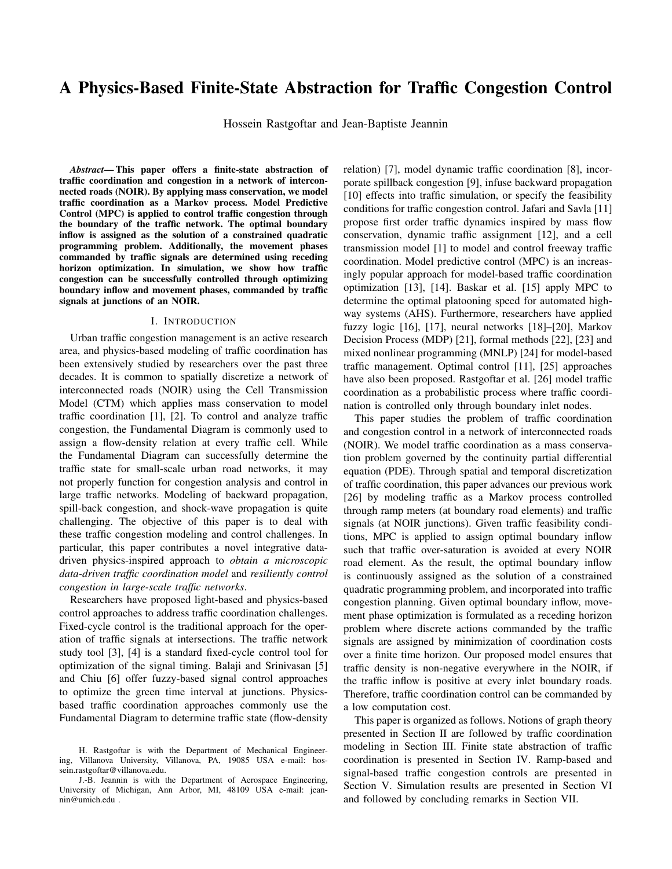towards  $82 O_{9}$  when  $\overline{2}$  is the active movement phase over time interval » $\ell_i$  - $\ell_{\geq 1}$ <sup>'</sup>/<sub>4</sub>. Note that

$$
\mathcal{Q}_{9-8}^{-1}{}_{-}^{0} = 1 \tag{13}
$$

for every 2 . We define  $P^{\perp}$ <sup>o</sup> = diag  $?2^{1}$   $^{\circ}$  -  $?4^{1}$   $^{\circ}$  -  $?4^{1}$   $^{\circ}$  , where  $?4^{1}$   $^{\circ}$  = 0 8\_ 2 . This implies that the outflow of the exit node is zero. Also, matrix  $Q^1$ <sup>o</sup> =  $\mathcal{Q}_{g,q}$ <sup>1</sup><sup>o</sup> 2 R<sup>1</sup><sup>#</sup>,<sup>1°</sup> <sup>1</sup><sup>#</sup>,<sup>1°</sup> is non-negative, and

$$
\mathcal{Q}_{\#_{s}1.9^{1} - \theta} = \begin{cases} 1 & \theta = \#_{s}12 \vee \\ 0 & \text{otherwise} \end{cases} \tag{14}
$$

Eq. (14) implies that traffic does not flow from the exit node  $\#$  1 2  $\vee$  to any other element  $92 \vee n \vee$ . The traffic network dynamics is given by

$$
\mathbf{X}^1: \, \Box \, \mathbf{1}^0 = \mathbf{A}^1 \Box^0 \mathbf{X}^1 \cdot \Box^0 \, \Box \, \mathbf{g}^1 \cdot \Box^0 \tag{15}
$$

where  $\mathbf{x}^1$ :  $\circ$  =  $d_1$  1:  $\circ$   $d_{\#_1}$  1:  $\circ$  3 and **g** = **g**<sup>)</sup>  $6 \#_{s} 1$ <sup>)</sup> =  $\sqrt[3]{6}$   $8 \times 2$  R<sup>1</sup> $\#_{s} 1^{\circ}$  1 is defined as follows:

$$
\delta_{\beta} \cdot \cdot \cdot = \begin{cases}\n\mathbf{8} D_{\beta} \cdot \cdot \cdot & \text{if } \beta \geq \sqrt{\beta} = \\
\mathbf{3} \cdot \cdot \cdot & \text{if } \beta \geq \sqrt{\sqrt{\beta}} \\
\mathbf{3} \cdot \cdot \cdot & \text{if } \beta \geq \sqrt{\sqrt{\beta}} \\
\mathbf{4} \cdot \cdot \cdot & \text{if } \beta \geq \sqrt{\sqrt{\beta}}\n\end{cases} \tag{16}
$$

Also,

$$
A^{1}{}_{-}{}^{0} = I \quad P^{1}{}_{-}{}^{0}{}_{,s} Q^{1}{}_{-}{}^{0} P^{1}{}_{-}{}^{0} = \begin{array}{cc} C^{1}{}_{-}{}^{0} & 0 \\ D^{1}{}_{-}{}^{0} & 1 \end{array}.
$$

where every column of non-negative matrix **A** :  $R^{1\#_{s}1^{0} \to \#_{s}1^{0}}$  sums to 1 for every movement phase  $\equiv 2$ , **C** :  $\mathbb{R}^* \neq$ , and  $\mathbb{D}^1$   $\circ$  2  $\mathbb{R}^1 \neq$ . Eigenvalues of matrix  $C^1$ <sup>o</sup> are all placed inside a disk of radius A  $\dot{Y}$  1 with center at the origin. Note that the *8*-th entry of matrix **D** :  $\cdot$  R<sup>1 #</sup> specifies the fraction of traffic flow exiting the NOIR from node  $82 \vee \cdot$ . Traffic dynamics at non-exit nodes is given by

$$
\mathbf{X}^{j-1} \div \mathbf{I}^0 = \mathbf{C}^{-1} \mathbf{I}^0 \mathbf{X}^{j-1} \div \mathbf{I}^0 \mathbf{I} \mathbf{I}^0 \cdot \mathbf{I}^0 \tag{17}
$$

where  $\mathbf{x} \cdot 1$ :  $\circ = d_1 1$ :  $\circ \qquad d_{\#} 1$ :  $\circ \qquad$ .

### IV. PROBLEM SPECIFICATION

Linear Temporal Logic (LTL) is used to specify the conservation-based traffic coordination dynamics [27] and present the feasibility conditions. Every LTL formula consists of a set of atomic propositions, logical operators, and temporal operators. Logical operators include : ("negation"),  $($  "disjunction"),  $\wedge$  ("conjunction"), and ) ("implication"). LTL formulae also use temporal operators  $\Box$  ("always"), ("next"),  $\lozenge$  ("eventually"), and  $\bigcup$  ("until").

We extend discrete-time LTL with the syntactic sugar  $\Box_{f0}$ <sub>-••– $\#_{q}$ g to specify satisfaction of a certain property in</sub> the next  $\#_q$ , 1 time steps. More specifically,  $\Box_{f0}$ - $\Box_{fq}$ at discrete time : if and only if  $i$  is satisfied at discrete times : to time :  $\#_g$  [26].

The problem of traffic coordination can be formally specified by a finite-state abstraction defined by tuple

$$
M = {}^{1}S \cdot A \cdot H \cdot C^{\circ} \cdot
$$

where S is the state set, A is the discrete action set,  $H : S$ A ! S is the state transition relation, and  $C: S \ A \vdash R$ is the immediate cost function.

*A. State set* S

Set S is mathematically defined by

S = fB = ¹**x**–**g**– \_– gº **x** 2 **X**– **g** 2 **G**– \_ 2 – g 2 f0–1g <sup>&</sup>lt;g– (18)

where the traffic density vector **x** =  $d_1$   $d_{\#_1}$ <sup>)</sup> 2 **X**  $R^{\#}$ ,<sup>1</sup> and input vector **g** 2 **G**  $R^{\#}$ ,<sup>1</sup> were introduced in Section III, and **X** and **G** are compact sets. Also,  $=$   $-1-Z_1$   $\overline{z}$   $\overline{z}$   $\overline{z}$  is a movement phase, and  $g = {}^{1}g_{1}$ -  $-g_{e}^{0}$  2 f0-1g<sup>2</sup>, where  $g_{g}$  2 f0-1g is the activation index at junction  $82$  W. An execution of the proposed system is expressed by  $B = B_0B_1B_2$ - where  $B_1 = B_2B_2$ ¹**x**»:¼–**g**: – \_»:¼– g»:¼º is the state of the system at time :.

Feasibility Condition 1: Traffic density, defined as the number of cars at a road element, is a positive quantity everywhere in the NOIR. It is also assumed that every road element has maximum capacity  $d_{\text{max}}$ . Therefore, the number of cars cannot exceed  $d_{\text{max}}$  in any real road element  $82 \vee \dots$ These two requirements can be formally specified as follows:

$$
\sum_{2\vee\cdot} \Box_{f0} \dots \#_{g0}{}^1 d_8 \quad 0 \wedge d_8 \quad d_{\text{max}}^{\circ} \cdot \quad (1)
$$

If feasibility condition  $\frac{1}{1}$  is satisfied at every real road element, then traffic over-saturation is avoided everywhere in the NOIR, at every discrete time :.

Optional Condition 2: Boundary inflow should satisfy the following feasibility condition at every discrete time ::

$$
\Box_{f0} \cdots \mathscr{H}_{g0} \qquad D_g = D_0 \qquad (2)
$$

Boundary condition  $\begin{pmatrix} 2 \end{pmatrix}$  constrains the number of vehicles entering the NOIR to be exactly  $D_0$  at any time :. Note that  $D_0$  is an upper bound on vehicles entering the NOIR. However, in the simulation results presented, traffic demand is significant such that the NOIR is maximally utilized by as many vehicles as possible.

## *B. Action Set* A

 $82$ 

Action set  $A$  : T ! assigns the next acceptable movement at every junction  $82 \text{ W}$ , given the current NOIR activation index  $\hat{g}$  2 T = f0-1g<sup><</sup> and movement phase  $=$  $^1$ <sub>-1</sub>-  $^ -\text{-}$   $^ \circ$ , i.e.  $g = ^1g_1$ -  $-g_5$ °,  $g_8$  2 f0-1g, 82 W. We write  $_{\hat{a}}$  for the value of  $_{\hat{b}}$  in the next state, i.e.  $_{\hat{a}}^{1}$  :  $^{\circ}$  =  $_{\hat{a}}^{1}$  :  $_{\circ}^{3}$  1°, and similarly for other variables. Actions are constrained and must satisfy one of the following LTL formula:

$$
{}^{1}g_{\theta} = 0^{\circ} \t\t ) \t\t -\t\t s - \t\t \delta \t\t 2 \t\t s - \t\t - \t\t \delta \t = -\t\t s \t\t 3 \t\t 4
$$

$$
{}^{1}g_{\theta} = 1^{\circ} \qquad \qquad \underline{\qquad}_{\theta} - \hat{\beta} \qquad \underline{2} \qquad g - \qquad \qquad (4-8)
$$

Combining  $(3-8)$  and  $(4-8)$ , the next movement phase must satisfy the following LTL formula:

$$
\Box_{f0} \dots \not x_{g9} \qquad \bar{a} = -8 \quad 2 \quad 8 \quad \Box \, ^1 \mathcal{G}_8 = 1^\circ \qquad \Box \, \bar{a} = -8^\circ \hat{a} \quad 2 \quad 8 \quad .
$$
  
82W (5)